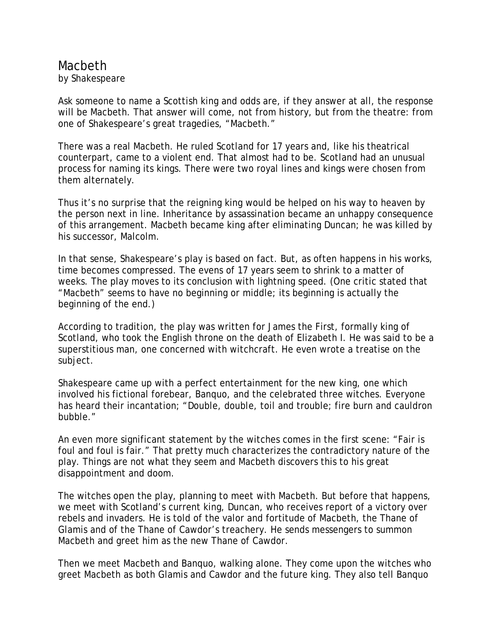## Macbeth by Shakespeare

Ask someone to name a Scottish king and odds are, if they answer at all, the response will be Macbeth. That answer will come, not from history, but from the theatre: from one of Shakespeare's great tragedies, "Macbeth."

There was a real Macbeth. He ruled Scotland for 17 years and, like his theatrical counterpart, came to a violent end. That almost had to be. Scotland had an unusual process for naming its kings. There were two royal lines and kings were chosen from them alternately.

Thus it's no surprise that the reigning king would be helped on his way to heaven by the person next in line. Inheritance by assassination became an unhappy consequence of this arrangement. Macbeth became king after eliminating Duncan; he was killed by his successor, Malcolm.

In that sense, Shakespeare's play is based on fact. But, as often happens in his works, time becomes compressed. The evens of 17 years seem to shrink to a matter of weeks. The play moves to its conclusion with lightning speed. (One critic stated that "Macbeth" seems to have no beginning or middle; its beginning is actually the beginning of the end.)

According to tradition, the play was written for James the First, formally king of Scotland, who took the English throne on the death of Elizabeth I. He was said to be a superstitious man, one concerned with witchcraft. He even wrote a treatise on the subject.

Shakespeare came up with a perfect entertainment for the new king, one which involved his fictional forebear, Banquo, and the celebrated three witches. Everyone has heard their incantation; "Double, double, toil and trouble; fire burn and cauldron bubble."

An even more significant statement by the witches comes in the first scene: "Fair is foul and foul is fair." That pretty much characterizes the contradictory nature of the play. Things are not what they seem and Macbeth discovers this to his great disappointment and doom.

The witches open the play, planning to meet with Macbeth. But before that happens, we meet with Scotland's current king, Duncan, who receives report of a victory over rebels and invaders. He is told of the valor and fortitude of Macbeth, the Thane of Glamis and of the Thane of Cawdor's treachery. He sends messengers to summon Macbeth and greet him as the new Thane of Cawdor.

Then we meet Macbeth and Banquo, walking alone. They come upon the witches who greet Macbeth as both Glamis and Cawdor and the future king. They also tell Banquo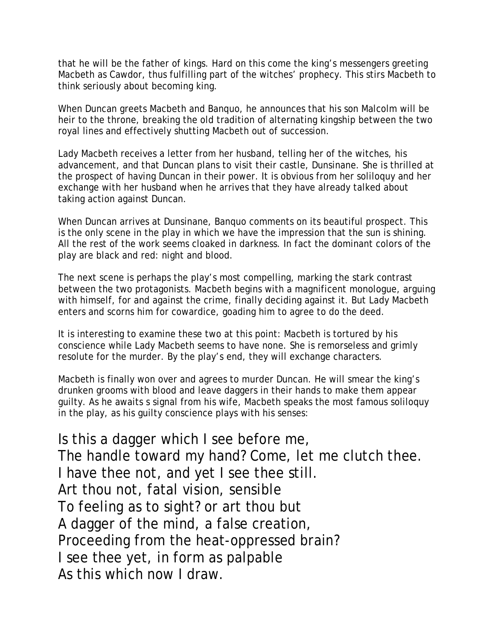that he will be the father of kings. Hard on this come the king's messengers greeting Macbeth as Cawdor, thus fulfilling part of the witches' prophecy. This stirs Macbeth to think seriously about becoming king.

When Duncan greets Macbeth and Banquo, he announces that his son Malcolm will be heir to the throne, breaking the old tradition of alternating kingship between the two royal lines and effectively shutting Macbeth out of succession.

Lady Macbeth receives a letter from her husband, telling her of the witches, his advancement, and that Duncan plans to visit their castle, Dunsinane. She is thrilled at the prospect of having Duncan in their power. It is obvious from her soliloquy and her exchange with her husband when he arrives that they have already talked about taking action against Duncan.

When Duncan arrives at Dunsinane, Banquo comments on its beautiful prospect. This is the only scene in the play in which we have the impression that the sun is shining. All the rest of the work seems cloaked in darkness. In fact the dominant colors of the play are black and red: night and blood.

The next scene is perhaps the play's most compelling, marking the stark contrast between the two protagonists. Macbeth begins with a magnificent monologue, arguing with himself, for and against the crime, finally deciding against it. But Lady Macbeth enters and scorns him for cowardice, goading him to agree to do the deed.

It is interesting to examine these two at this point: Macbeth is tortured by his conscience while Lady Macbeth seems to have none. She is remorseless and grimly resolute for the murder. By the play's end, they will exchange characters.

Macbeth is finally won over and agrees to murder Duncan. He will smear the king's drunken grooms with blood and leave daggers in their hands to make them appear guilty. As he awaits s signal from his wife, Macbeth speaks the most famous soliloquy in the play, as his guilty conscience plays with his senses:

Is this a dagger which I see before me, The handle toward my hand? Come, let me clutch thee. I have thee not, and yet I see thee still. Art thou not, fatal vision, sensible To feeling as to sight? or art thou but A dagger of the mind, a false creation, Proceeding from the heat-oppressed brain? I see thee yet, in form as palpable As this which now I draw.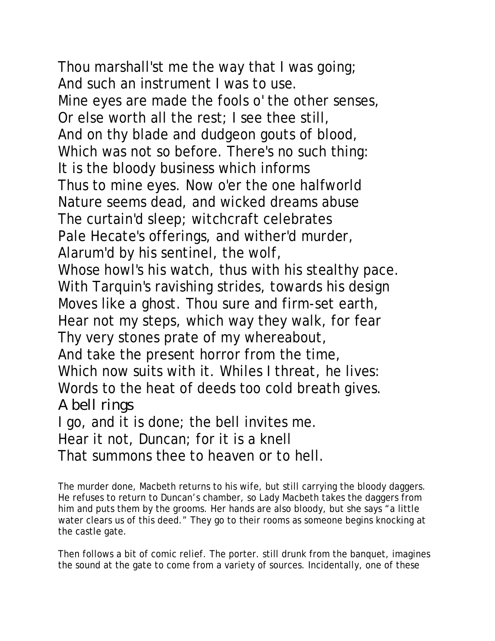Thou marshall'st me the way that I was going; And such an instrument I was to use. Mine eyes are made the fools o' the other senses, Or else worth all the rest; I see thee still, And on thy blade and dudgeon gouts of blood, Which was not so before. There's no such thing: It is the bloody business which informs Thus to mine eyes. Now o'er the one halfworld Nature seems dead, and wicked dreams abuse The curtain'd sleep; witchcraft celebrates Pale Hecate's offerings, and wither'd murder, Alarum'd by his sentinel, the wolf, Whose howl's his watch, thus with his stealthy pace. With Tarquin's ravishing strides, towards his design Moves like a ghost. Thou sure and firm-set earth, Hear not my steps, which way they walk, for fear Thy very stones prate of my whereabout, And take the present horror from the time, Which now suits with it. Whiles I threat, he lives: Words to the heat of deeds too cold breath gives. *A bell rings* I go, and it is done; the bell invites me.

Hear it not, Duncan; for it is a knell

That summons thee to heaven or to hell.

The murder done, Macbeth returns to his wife, but still carrying the bloody daggers. He refuses to return to Duncan's chamber, so Lady Macbeth takes the daggers from him and puts them by the grooms. Her hands are also bloody, but she says "a little water clears us of this deed." They go to their rooms as someone begins knocking at the castle gate.

Then follows a bit of comic relief. The porter. still drunk from the banquet, imagines the sound at the gate to come from a variety of sources. Incidentally, one of these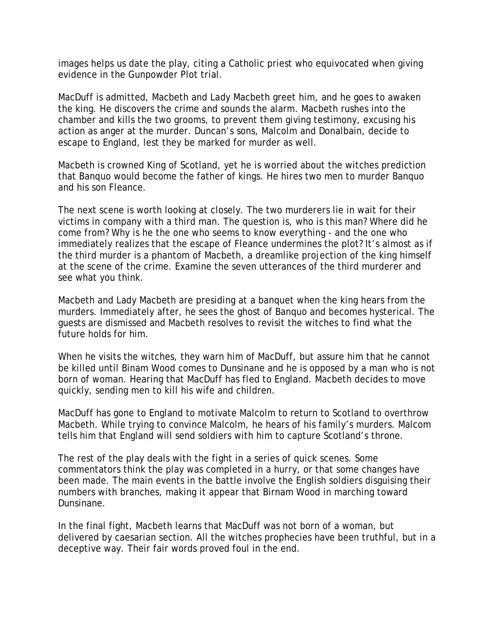images helps us date the play, citing a Catholic priest who equivocated when giving evidence in the Gunpowder Plot trial.

MacDuff is admitted, Macbeth and Lady Macbeth greet him, and he goes to awaken the king. He discovers the crime and sounds the alarm. Macbeth rushes into the chamber and kills the two grooms, to prevent them giving testimony, excusing his action as anger at the murder. Duncan's sons, Malcolm and Donalbain, decide to escape to England, lest they be marked for murder as well.

Macbeth is crowned King of Scotland, yet he is worried about the witches prediction that Banquo would become the father of kings. He hires two men to murder Banquo and his son Fleance.

The next scene is worth looking at closely. The two murderers lie in wait for their victims in company with a third man. The question is, who is this man? Where did he come from? Why is he the one who seems to know everything - and the one who immediately realizes that the escape of Fleance undermines the plot? It's almost as if the third murder is a phantom of Macbeth, a dreamlike projection of the king himself at the scene of the crime. Examine the seven utterances of the third murderer and see what you think.

Macbeth and Lady Macbeth are presiding at a banquet when the king hears from the murders. Immediately after, he sees the ghost of Banquo and becomes hysterical. The guests are dismissed and Macbeth resolves to revisit the witches to find what the future holds for him.

When he visits the witches, they warn him of MacDuff, but assure him that he cannot be killed until Binam Wood comes to Dunsinane and he is opposed by a man who is not born of woman. Hearing that MacDuff has fled to England. Macbeth decides to move quickly, sending men to kill his wife and children.

MacDuff has gone to England to motivate Malcolm to return to Scotland to overthrow Macbeth. While trying to convince Malcolm, he hears of his family's murders. Malcom tells him that England will send soldiers with him to capture Scotland's throne.

The rest of the play deals with the fight in a series of quick scenes. Some commentators think the play was completed in a hurry, or that some changes have been made. The main events in the battle involve the English soldiers disguising their numbers with branches, making it appear that Birnam Wood in marching toward Dunsinane.

In the final fight, Macbeth learns that MacDuff was not born of a woman, but delivered by caesarian section. All the witches prophecies have been truthful, but in a deceptive way. Their fair words proved foul in the end.